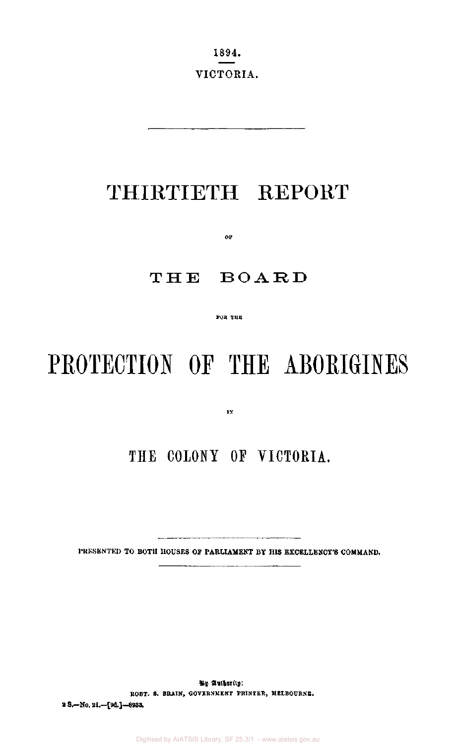1894. VICTORIA.

# THIRTIETH REPORT

**OF** 

## THE BOARD

**FOR THE** 

# PROTECTION OF THE ABORIGINES

**IN** 

# **THE COLONY OF VICTORIA.**

PRESENTED TO BOTH HOUSES OF PARLIAMENT BY HIS EXCELLENCY'S COMMAND.

*By Authority***: ROBT. S. BRAIN, GOVERNMENT PRINTER, MELBOURNE. 2 S.—No. 21.—[9d.]—8933.** 

Digitised by AIATSIS Library, SF 25.3/1 - www.aiatsis.gov.au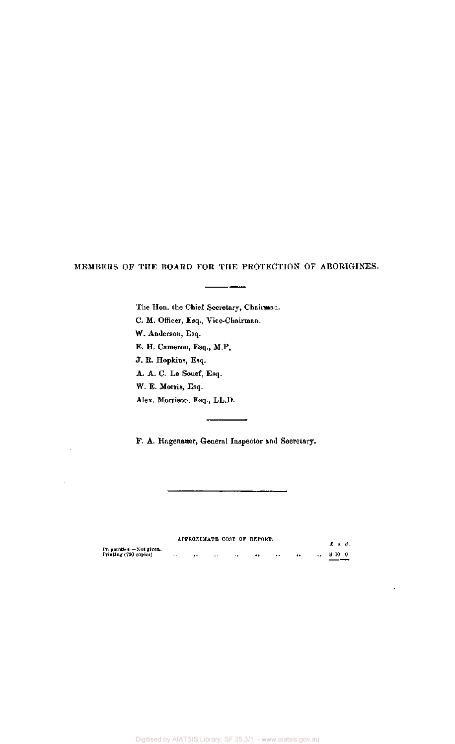#### MEMBERS OF THE BOARD FOR THE PROTECTION OF ABORIGINES.

The Hon. the Chief Secretary, Chairman. C. M. Officer, Esq., Vice-Chairman. W. Anderson, Esq. E. H. Cameron, Esq., M.P. J. R. Hopkins, Esq. A. A. C. Le Souef, Esq. W. E. Morris, Esq. Alex. Morrison, Esq., LL.D.

F. A. Hagenauer, General Inspector and Secretary.

#### APPROXIMATE COST OF REPORT.

|                                                 |        |           |                 | ALLAVAISPALE COST OF BEFORE. |      |  | £ s. d. |  |
|-------------------------------------------------|--------|-----------|-----------------|------------------------------|------|--|---------|--|
| Preparation-Not given.<br>Printing (790 copies) | $\sim$ | $\bullet$ | $\cdot$ $\cdot$ | $-$                          | <br> |  | 8 10    |  |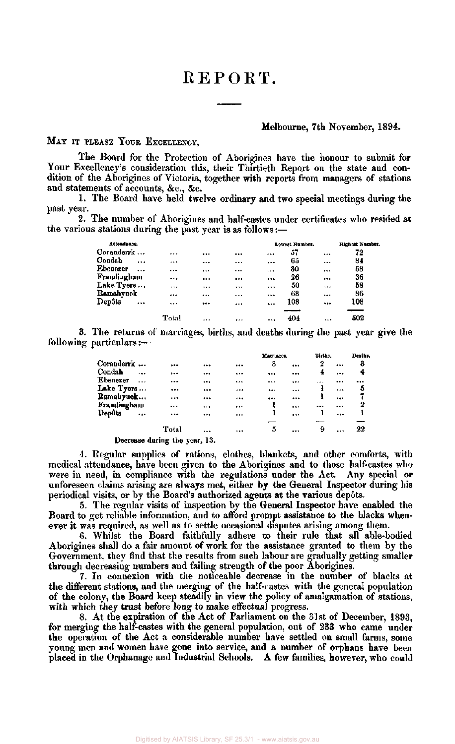## REPORT.

#### Melbourne, 7th November, 1894.

#### MAY IT PLEASE YOUR EXCELLENCY.

The Board for the Protection of Aborigines have the honour to submit for Your Excellency's consideration this, their Thirtieth Report on the state and condition of the Aborigines of Victoria, together with reports from managers of stations and statements of accounts, &c, &c.

1. The Board have held twelve ordinary and two special meetings during the past year.

2. The number of Aborigines and half-castes under certificates who resided at the various stations during the past year is as follows:—

| Attendance.         |          |          |          |          | Lowest Number. |          | <b>Highest Number.</b> |
|---------------------|----------|----------|----------|----------|----------------|----------|------------------------|
| Coranderrk          | $\cdots$ |          |          |          | 57             |          | 72                     |
| Condah<br>$\cdots$  |          |          |          | $\cdots$ | 65             |          | 84                     |
| Ehenezer            |          |          |          | $\cdots$ | 30             |          | 58                     |
| Framlingham         |          | $\cdots$ |          |          | 26             | $\cdots$ | 36                     |
| Lake Tyers          |          |          |          | $\cdots$ | 50             |          | 58                     |
| Ramahyuck           |          |          |          |          | 68             |          | 86                     |
| Depôts<br>$\ddotsc$ | $\cdots$ |          | $\cdots$ |          | 108            |          | 108                    |
|                     |          |          |          |          |                |          |                        |
|                     | Total    |          | $\cdots$ |          | 404            |          | 502                    |

3. The returns of marriages, births, and deaths during the past year give the following particulars:—

|             |           |        |          |    | Marriages. | Dirths. | Deaths. |
|-------------|-----------|--------|----------|----|------------|---------|---------|
| Coranderrk  |           |        |          |    | 3          | <br>2   | <br>3   |
| Condah      | $\ddotsc$ |        |          |    |            | <br>4   | <br>4   |
| Ebenezer    | .         |        |          |    |            | <br>.   | <br>    |
| Lake Tyers  |           |        |          |    |            |         | <br>5   |
| Ramshyuok   |           |        |          |    |            |         |         |
| Framlingham |           |        |          |    | ı          | <br>    | <br>2   |
| Depôts      | $\ddotsc$ |        |          | $$ |            |         |         |
|             |           |        |          |    |            |         |         |
|             |           | Total. | $\cdots$ |    | 5          | <br>9   | <br>22  |

Decrease during the year, 13.

4. Regular supplies of rations, clothes, blankets, and other comforts, with medical attendance, have been given to the Aborigines and to those half-castes who were in need, in compliance with the regulations under the Act. Any special or unforeseen claims arising are always met, either by the General Inspector during his periodical visits, or by the Board's authorized agents at the various depôts.

5. The regular visits of inspection by the General Inspector have enabled the Board to get reliable information, and to afford prompt assistance to the blacks whenever it was required, as well as to settle occasional disputes arising among them.

6. Whilst the Board faithfully adhere to their rule that all able-bodied Aborigines shall do a fair amount of work for the assistance granted to them by the Government, they find that the results from such labour are gradually getting smaller through decreasing numbers and failing strength of the poor Aborigines.

7. In connexion with the noticeable decrease in the number of blacks at the different stations, and the merging of the half-castes with the general population of the colony, the Board keep steadily in view the policy of amalgamation of stations, with which they trust before long to make effectual progress.

8. At the expiration of the Act of Parliament on the 31st of December, 1893, for merging the half-castes with the general population, out of 233 who came under the operation of the Act a considerable number have settled on small farms, some young men and women have gone into service, and a number of orphans have been placed in the Orphanage and Industrial Schools. A few families, however, who could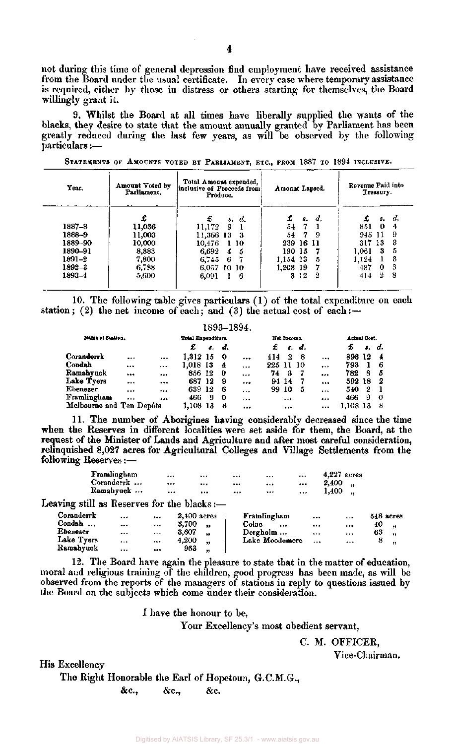not during this time of general depression find employment have received assistance from the Board under the usual certificate. In every case where temporary assistance is required, either by those in distress or others starting for themselves, the Board willingly grant it.

9. Whilst the Board at all times have liberally supplied the wants of the blacks, they desire to state that the amount annually granted by Parliament has been greatly reduced during the last few years, as will be observed by the following particulars:—

| Year.   | Amount Voted by<br>Parliament. | Total Amount expended.<br>inclusive of Proceeds from<br>Produce. | Amount Lapsed.       | Revenue Paid into<br>Treasury. |
|---------|--------------------------------|------------------------------------------------------------------|----------------------|--------------------------------|
|         |                                | £<br>$\mathfrak{a}.$<br>З.                                       | £<br>d.<br>я.        | -a<br>£<br>8.                  |
| 1887–8  | 11,036                         | 11.172<br>9                                                      | 54<br>7              | 0<br>851<br>4                  |
| 1888–9  | 11,003                         | 11.366<br>13<br>-3                                               | 54<br>-7<br>-9       | 9<br>945<br>-11                |
| 1889-90 | 10,000                         | 10.476<br>$1\,10$                                                | 239 16 11            | 3<br>13<br>317                 |
| 1890–91 | 8,883                          | 6.692<br>4<br>-5                                                 | 190 15               | 3<br>5<br>1.061                |
| 1891–2  | 7,800                          | 6,745<br>6                                                       | 1.154 13<br>5        | 3<br>1.124                     |
| 1892-3  | 6,788                          | 6,057<br>10 10                                                   | 1,208 19             | 3<br>487<br>0                  |
| 1893-4  | 5,600                          | 6,091<br>-6                                                      | 3 <sub>12</sub><br>2 | 2<br>8<br>414                  |

STATEMENTS OF AMOUNTS VOTED BY PARLIAMENT, ETC., FROM 1887 TO 1894 INCLUSIVE.

10. The following table gives particulars (1) of the total expenditure on each station; (2) the net income of each; and (3) the actual cost of each:  $-$ 

|                          |          |                         |                    |    |              | 1893-1894. |        |             |       |          |              |     |              |
|--------------------------|----------|-------------------------|--------------------|----|--------------|------------|--------|-------------|-------|----------|--------------|-----|--------------|
| Name of Station.         |          |                         | Total Expenditure. |    |              |            |        | Net Pacome. |       |          | Actual Cost. |     |              |
|                          |          |                         | £                  | з. | d.           |            | £      |             | s. d. |          | £            |     | <b>1.</b> d. |
| Coranderrk               |          | $\cdots$                | 1.312 15           |    | $\mathbf{o}$ | $\cdots$   | 414    | 2           | -8    | $\cdots$ | 898          | 12  |              |
| Condah                   |          | $\ddotsc$               | 1.018 13           |    | -4           |            | 225 11 |             | - 10  |          | 793          |     | 6            |
| Ramabyuck                |          |                         | 856 12             |    | 0            | $\ddotsc$  | 74     | 3           |       |          | 782          | 8   | 5            |
| Lake Tyers               |          | $\bullet\bullet\bullet$ | 687 12             |    | 9            | $\cdots$   |        | 94 14       |       |          | 592          | -18 | 2            |
| Ebenezer                 | $\cdots$ |                         | 639 12             |    | 6            | $\cdots$   | 99     | -10         | ő     |          | 540          | 2   |              |
| Framlingham              | $\cdots$ |                         | 466                | 9  | 0            | $\cdots$   |        | $- + +$     |       |          | 466          | 9   | 0            |
| Melbourne and Ten Depôts |          |                         | 1.108              | 13 | 8            |            |        |             |       |          | 1.108        | 13  | 8            |

11. The number of Aborigines having considerably decreased since the time when the Reserves in different localities were set aside for them, the Board, at the request of the Minister of Lands and Agriculture and after most careful consideration, relinquished 8,027 acres for Agricultural Colleges and Village Settlements from the following Reserves:—

| Framlingham | <br> | <br> |             | $4.227$ acres |
|-------------|------|------|-------------|---------------|
| Coranderrk  | <br> | <br> | $\cdots$    | 2,400         |
| Ramahyuck   | <br> | <br> | $\sim 1000$ | 1,400         |
| ---         |      |      |             |               |

Leaving still as Reserves for the blacks:—

| Coranderrk | $\cdots$ |          | $2,400$ acres       | Framlingham    | <br>$+1+$ | $548$ acres         |
|------------|----------|----------|---------------------|----------------|-----------|---------------------|
| Condah     |          | $\cdots$ | 3.700<br>55         | Colac<br>      | <br>      | 40<br>-49           |
| Ebenezer   | $\cdots$ | $\cdots$ | 3.607<br>$^{\circ}$ | Dergholm       | <br>      | 63<br>$^{\tiny{+}}$ |
| Lake Tyers | $\cdots$ | $\cdots$ | 4.200<br>69         | Lake Moodemere | <br>      | 8<br>$^{\bullet}$   |
| Ramabyuck  |          | $\cdots$ | 963                 |                |           |                     |

12. The Board have again the pleasure to state that in the matter of education, moral and religious training of the children, good progress has been made, as will be observed from the reports of the managers of stations in reply to questions issued by the Board on the subjects which come under their consideration.

I have the honour to be,

Your Excellency's most obedient servant,

C. M. OFFICER,

Vice-Chairman.

His Excellency

The Right Honorable the Earl of Hopetoun, G.C.M.G.,

&c, &c, &c.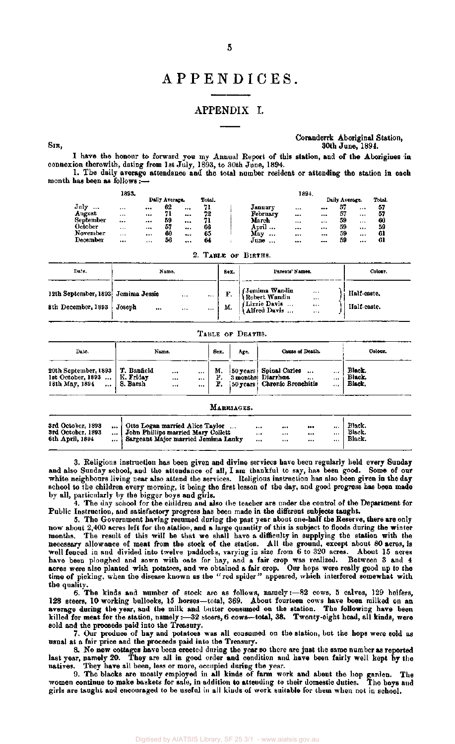### APPENDICES .

#### APPENDIX I.

Coranderrk Aboriginal Station, SIR, 30th June, 1894.

I have the honour to forward you my Annual Report of this station, and of the Aborigines in connexion therewith, dating from 1st July, 1893, to 30th June, 1894.

1. The daily average attendance and the total number resident or attending the station in each month has been as follows:—

|           | 1893.    |                |          |        |                  | 1894.    |          |                |          |        |
|-----------|----------|----------------|----------|--------|------------------|----------|----------|----------------|----------|--------|
|           |          | Dally Average. |          | Total. |                  |          |          | Daily Average. |          | Total. |
| July<br>  | $\cdots$ | <br>62         |          | 71     | January          |          |          | 57             |          | 57     |
| August    |          | <br>71         |          | 72     | February         | $\cdots$ |          | 57             |          | 57     |
| September |          | <br>59         |          | 71     | March            |          | $\cdots$ | 59             |          | 60     |
| October   | $\cdots$ | <br>57         | $\cdots$ | 66     | April            |          |          | 59             |          | 59     |
| November  | $\cdots$ | <br>60         |          | 65     | May<br>$\cdots$  | $\cdots$ |          | 59             | $\cdots$ | 61     |
| December  |          | <br>56         |          | 64     | June<br>$\cdots$ |          |          | 59             |          | -61    |

|                                                          |                    | 2. TABLE OF BIRTHS.      |                                                                                                                         |                            |
|----------------------------------------------------------|--------------------|--------------------------|-------------------------------------------------------------------------------------------------------------------------|----------------------------|
| Date.                                                    | Name.              | Sex.                     | Parents' Names.                                                                                                         | Colour.                    |
| 12th September, 1893 Jemima Jessie<br>8th December, 1893 | <br>Joseph<br><br> | F.<br><br>М.<br>$\cdots$ | Jemima Wandin<br>{Robert Wandin<br>$\cdots$<br>$\bullet\bullet\bullet$<br>Lizzie Davis<br>{Alfred Davis<br>$\cdots$<br> | Half-caste,<br>Half-caste. |

#### TABLE OF DEATHS.

| Date.                                                                                |                         | Name.                                       | Sex. | Age. | Cause of Death.                                                                                               | Colour.                    |
|--------------------------------------------------------------------------------------|-------------------------|---------------------------------------------|------|------|---------------------------------------------------------------------------------------------------------------|----------------------------|
| 20th September, 1893<br>1st October, 1893    K. Friday<br>18th May, 1894<br>$\cdots$ | T. Banfield<br>S. Barah | $+ + +$<br><br>$\cdots$<br><br>$\cdots$<br> | M.   |      | 50 years Spinal Caries<br><br>$-1$<br>3 months! Diarrhœa<br><br>$\cdots$<br>50 years   Chronic Bronchitis<br> | Black.<br>Black.<br>Black. |

#### MARRIAGES.

| 3rd October, 1893<br>3rd October, 1893<br>6th April, 1894<br>$\cdots$ | Otto Logan married Alice Taylor<br>John Phillips married Mary Collett<br>, Sargeant Major married Jemima Lanky | <br><br> | <br>$\cdots$<br> | <br><br> | <br><br> | Black.<br>Black.<br>Black. |  |
|-----------------------------------------------------------------------|----------------------------------------------------------------------------------------------------------------|----------|------------------|----------|----------|----------------------------|--|
|-----------------------------------------------------------------------|----------------------------------------------------------------------------------------------------------------|----------|------------------|----------|----------|----------------------------|--|

3. Religious instruction has been given and divine services have been regularly held every Sunday and also Sunday school, and the attendance of all, I am thankful to say, has been good. Some of our white neighbours living near also attend the services. Religious instruction has also been given in the day school to the children every morning, it being the first lesson of the day, and good progress has been made by all, particularly by the bigger boys and girls.

4. The day school for the children and also the teacher are under the control of the Department for Public Instruction, and satisfactory progress has been made in the different subjects taught.

5. The Government having resumed during the past year about one-half the Reserve, there are only now about 2,400 acres left for the station, and a large quantity of this is subject to floods during the winter months. The result of this will be that we shall have a difficulty in supplying the station with the necessary allowance of meat from the stock of the station. All the ground, except about 80 acres, is well fenced in and divided into twelve paddocks, varying in size from 6 to 320 acres. About 15 acres have been ploughed and sown with oats for hay, and a fair crop was realized. Between 3 and 4 acres were also planted with potatoes, and we obtained a fair crop. Our hops were really good up to the time of picking, when the disease known as the "red spider" appeared, which interfered somewhat with the quality.

6. The kinds and number of stock are as follows, namely:—82 cows, 5 calves, 129 heifers, 128 steers, 10 working bullocks, 15 horses—total, 369. About fourteen cows have been milked on an average during the year, and the milk and butter consumed on the station. The following have been killed for meat for the station, namely :- 32 steers, 6 cows-total, 38. Twenty-eight head, all kinds, were sold and the proceeds paid into the Treasury.

7. Our produce of hay and potatoes was all consumed on the station, but the hops were sold as usual at a fair price and the proceeds paid into the Treasury.

8. No new cottages have been erected during the year so there are just the same number as reported last year, namely 20. They are all in good order and condition and have been fairly well kept by the natives. They have all been, less or more, occupied during the year.

9. The blacks are mostly employed in all kinds of farm work and about the hop garden. The women continue to make baskets for sale, in addition to attending to their domestic duties. The boys and girls are taught and encouraged to be useful in all kinds of work suitable for them when not in school.

Digitised by AIATSIS Library, SF 25.3/1 - www.aiatsis.gov.au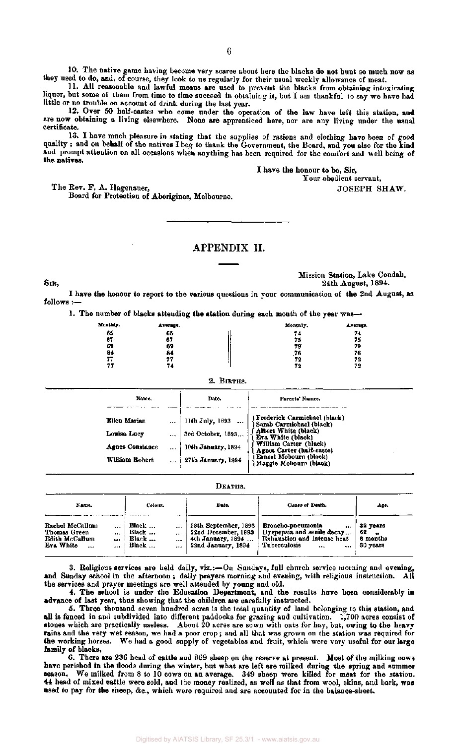10. The native game having become very scarce about here the blacks do not hunt so much now as they used to do, and, of course, they look to us regularly for their usual weekly allowance of meat.

11. All reasonable and lawful means are used to prevent the blacks from obtaining intoxicating liquor, but some of them from time to time succeed in obtaining it, but I am thankful to say we have had little or no trouble on account of drink during the last year.

12. Over 50 half-castes who come under the operation of the law have left this station, and are now obtaining a living elsewhere. None are apprenticed here, nor are any living under the usual certificate.

13. I have much pleasure in stating that the supplies of rations and clothing have been of good quality ; and on behalf of the natives I beg to thank the Government, the Board, and you also for the kind and prompt attention on all occasions when anything has been required for the comfort and well being of the natives.

> I have the honour to be, Sir, Your obedient servant, JOSEPH SHAW.

The Rev. F. A. Hagenauer, Board for Protection of Aborigines, Melbourne,

#### APPENDIX II.

Mission Station, Lake Condah, SIR, 24th August, 1894.

I have the honour to report to the various questions in your communication of the 2nd August, as follows :—

1. The number of blacks attending the station during each month of the year was-

| Monthly. | Average. | Monthly. | Average. |
|----------|----------|----------|----------|
| 65       | 65       | 74       | 74       |
| 67       | 67       | 75       | 75       |
| 69       | 69       | 79       | 79       |
| 84       | 84       | -76      | 76       |
| 77       | 77       | 72       | 72       |
| 77       | 74       | 72       | 72       |

#### 2. BIRTHS.

| Name.                                                                              | Date.                                                                            | Parents' Names.                                                                                                                                                                                                  |  |
|------------------------------------------------------------------------------------|----------------------------------------------------------------------------------|------------------------------------------------------------------------------------------------------------------------------------------------------------------------------------------------------------------|--|
| Ellen Marian<br>Louisa Lucy<br><b>Agnes Constance</b><br><b>William Robert</b><br> | 11th July, 1893<br>3rd October, 1893<br>10th January, 1894<br>27th January, 1894 | Frederick Carmichael (black)<br>Sarah Carmichael (black)<br>Albert White (black)<br>Eva White (black)<br>William Carter (black)<br>Agnos Carter (half-caste)<br>Ernest Mobourn (black)<br>Maggie Mobourn (black) |  |
|                                                                                    |                                                                                  |                                                                                                                                                                                                                  |  |

#### DEATHS.

| Name.                                                                              | Colour.                                              | Date.                                                             | Canso of Death.                                                                                                                                    | Age.                                   |
|------------------------------------------------------------------------------------|------------------------------------------------------|-------------------------------------------------------------------|----------------------------------------------------------------------------------------------------------------------------------------------------|----------------------------------------|
| Rachel McCallum<br>Thomas Green<br>Edith McCallum<br><br>Eva White<br>$\cdots$<br> | Black<br>$\cdots$<br>Black<br><br>Black<br>Black<br> | 28th September, 1893  <br>4th January, 1894<br>22nd January, 1894 | Broncho-pneumonia<br>104<br>22nd December, 1893   Dyspepsia and senile decay<br><b>Exhaustion and intense heat</b><br>Tuberculosis<br><br>$\cdots$ | 32 years<br>62<br>8 months<br>30 years |

3. Religious services are held daily, viz.:—On Sundays, full church service morning and evening, and Sunday school in the afternoon ; daily prayers morning and evening, with religious instruction. All the services and prayer meetings are well attended by young and old.

4. The school is under the Education Department, and the results have been considerably in advance of last year, thus showing that the children are carefully instructed.

5. Three thousand seven hundred acres is the total quantity of land belonging to this station, and all is fenced in and subdivided into different paddocks for grazing and cultivation. 1,700 acres consist of stones which are practically useless. About 20 acres are sown with oats for hay, but, owing to the heavy rains and the very wet season, we had a poor crop; and all that was grown on the station was required for the working horses. We had a good supply of vegetables and fruit, which were very useful for our large family of blacks,

6. There are 236 head of cattle and 369 sheep on the reserve at present. Most of the milking cows have perished in the floods during the winter, but what are left are milked during the spring and summer season. We milked from 8 to 10 cows on an average. 349 sheep were killed for meat for the station. 44 head of mixed cattle were sold, and the money realized, as well as that from wool, skins, and bark, was used to pay for the sheep, &c., which were required and are accounted for in the balance-sheet.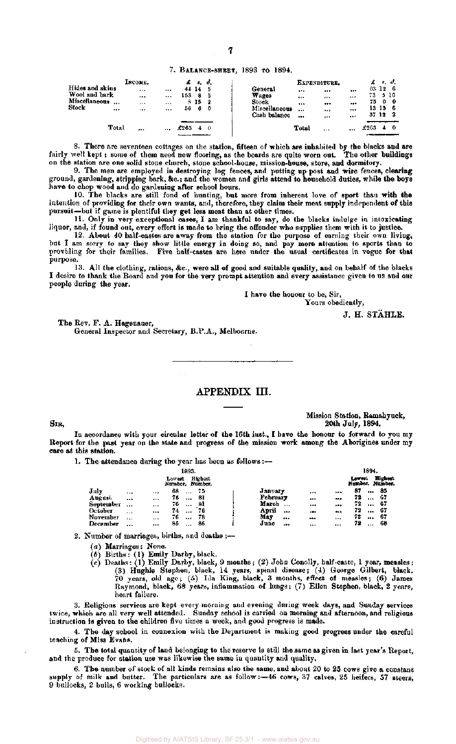#### 7. BALANCE-SHEET, 1893 TO 1894.

|                 | Total | $\cdots$ |     | £263 | 4     | 0  |               | Total    | $\cdots$     | <br>£263  | 4     | 0              |
|-----------------|-------|----------|-----|------|-------|----|---------------|----------|--------------|-----------|-------|----------------|
|                 |       |          |     |      |       |    | Cash balance  |          | $- - +$      | <br>37 12 |       | -2             |
| Stock           |       |          |     | 56   | 6     | 0  | Miscellaneous | $\cdots$ | 1.14         |           | 13 13 | -6             |
| Miscellaneous   |       |          | 111 | 8.   | 15    | -2 | Stock         |          |              | <br>75.   |       | 0 <sub>0</sub> |
| Wool and bark   |       | $$       |     | 153. | 8     | 5  | Wages         |          |              | <br>73.   |       | 5 10           |
| Hides and skins |       | $\cdots$ |     |      | 44 14 | -5 | General       | $\cdots$ |              |           | 63 12 | - 6            |
|                 |       | Інсоме.  |     | £    | s. d. |    |               |          | EXPENDITURE. |           |       | s. d.          |

8. There are seventeen cottages on the station, fifteen of which are inhabited by the blacks and are fairly well kept; some of them need new flooring, as the boards are quite worn out. The other buildings on the station are one solid stone church, stone school-house, mission-house, store, and dormitory.

9. The men are employed in destroying log fences, and putting up post and wire fences, clearing ground, gardening, stripping bark, &c.; and the women and girls attend to household duties, while the boys have to chop wood and do gardening after school hours.

10. The blacks are still fond of hunting, but more from inherent love of sport than with the intention of providing for their own wants, and, therefore, they claim their meat supply independent of this pursuit—but if game is plentiful they get less meat than at other times.

11. Only in very exceptional eases, I am thankful to say, do the blacks indulge in intoxicating liquor, and, if found out, every effort is made to bring the offender who supplies them with it to justice.

12. About 40 half-castes are away from the station for the purpose of earning their own living, but I am sorry to say they show little energy in doing so, and pay more attention to sports than to providing for their families. Five half-castes are here under the usual certificates in vogue for that purpose.

13. All the clothing, rations, &c., were all of good and suitable quality, and on behalf of the blacks I desire to thank the Board and you for the very prompt attention and every assistance given to us and our people during the year.

1 have the honour to be, Sir,

Yours obediently,

J. H. STAHLE.

The Rev. F. A. Hagenauer, General Inspector and Secretary, B.P.A., Melbourne.

#### APPENDIX III.

Mission Station, Ramahyuck, 20th July, 1894.

In accordance with your circular letter of the 16th inst., I have the honour to forward to you my Report for the past year on the state and progress of the mission work among the Aborigines under my care at this station.

1. The attendance during the year has been as follows :--

|           |       |                           | 1893.    |         |                 |    |          |                         |                           | 1894.    |         |
|-----------|-------|---------------------------|----------|---------|-----------------|----|----------|-------------------------|---------------------------|----------|---------|
|           |       | Lowest<br>Number, Number. |          | Highest |                 |    |          |                         | Lowest<br>Number. Number. |          | Highest |
| July      |       | <br>68                    | $\cdots$ | 75      | January         |    |          |                         | 87                        |          | -85     |
| August    |       | <br>76                    | $$       | -81     | <b>February</b> |    | $\cdots$ |                         | 72                        |          | -67     |
| September |       | <br>76                    | $\cdots$ | -81     | March           |    |          |                         | 72                        | $\cdots$ | -67     |
| October   | 7.4.5 | <br>74                    |          | 76      | April           |    |          | $\bullet\bullet\bullet$ | 72                        |          | -67     |
| November  |       | <br>76                    | $\cdots$ | -78     | May             | $$ |          | $\cdots$                | 72                        |          | 67      |
| December  |       | <br>85                    |          | 86      | June            |    | $- - -$  |                         | 72                        | $* + +$  | 68      |

2. Number of marriages, births, and deaths :—

*(a)* Marriages: None.

*(b)* Births: (1) Emily Darby, black.

(c) Deaths: (1) Emily Darby, black, 9 months; (2) John Conolly, half-caste, 1 year, measles ; (3) Hughie Stephen, black, 14 years, spinal disease; (4) George Gilbert, black, 70 years, old age; (5) Ida King, black, 3 months, effect of measles; (6) James Raymond, black, 68 years, inflammation of lungs; (7) Ellen Stephen, black, 2 years, heart failure.

3. Religious services are kept every morning and evening during week days, and Sunday services twice, which are all very well attended. Sunday school is carried on morning and afternoon, and religious instruction is given to the children five times a week, and good progress is made.

4. The day school in connexion with the Department is making good progress under the careful teaching of Miss Evans.

*5.* The total quantity of land belonging to the reserve is still the same as given in last year's Report, and the produce for station use was likewise the same in quantity and quality.

6. The number of stock of all kinds remains also the same, and about 20 to 25 cows give a constant supply of milk and butter. The particulars are as follow:—46 cows, 37 calves, 25 heifers, 57 steers, 9 bullocks, 2 bulls, 6 working bullocks.

SIR,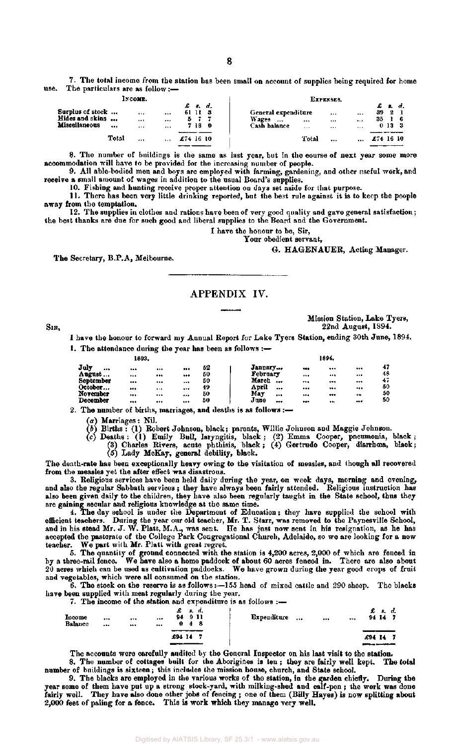7. The total income from the station has been small on account of supplies being required for home use. The particulars are as follow:—

|                                                        |          | INCOME.          |          |           |                            |     | EXPENSES.                                                                                                       |           |                      |  |
|--------------------------------------------------------|----------|------------------|----------|-----------|----------------------------|-----|-----------------------------------------------------------------------------------------------------------------|-----------|----------------------|--|
| Surplus of stock …<br>Hides and skins<br>Miscellaneous | $\cdots$ | <br>$\cdots$<br> | <br><br> |           | £ s. d.<br>61 11 3<br>7 18 | - 0 | General expenditure<br>$\cdots$<br><br>Wages<br>$\cdots$<br><br>$\cdots$<br><br>Cash balance<br><br>$+ + +$<br> | 39<br>35  | £ s. d.<br>2<br>0133 |  |
|                                                        | Total    |                  | 1.11     | £74 16 10 |                            |     | Total<br>1.1.1<br>                                                                                              | £74 16 10 |                      |  |

8. The number of buildings is the same as last year, but in the course of next year some more accommodation will have to be provided for the increasing number of people.

9. All able-bodied men and boys are employed with farming, gardening, and other useful work, and receive a small amount of wages in addition to the usual Board's supplies.

10. Fishing and hunting receive proper attention on days set aside for that purpose.

11. There has been very little drinking reported, but the best rule against it is to keep the people away from the temptation.

12. The supplies in clothes and rations have been of very good quality and gave general satisfaction ; the best thanks are due for such good and liberal supplies to the Board and the Government.

I have the honour to be, Sir,

Your obedient servant,

G. HAGENAUER, Acting Manager.

The Secretary, B.P.A, Melbourne.

#### APPENDIX IV.

Mission Station, Lake Tyers, SIR, 22nd August, 1894.

I have the honour to forward my Annual Report for Lake Tyers Station, ending 30th June, 1894.

1. The attendance during the year has been as follows :—

|                 | 1893. |          |          |    |           |       | 1894. |        |
|-----------------|-------|----------|----------|----|-----------|-------|-------|--------|
| July<br>        |       |          |          | 62 | January   |       |       |        |
| August          |       |          |          | 50 | February  |       |       | <br>48 |
| September       |       |          |          | 50 | March<br> |       |       | <br>47 |
| October         |       | $\cdots$ | $\cdots$ | 49 | April<br> |       |       | <br>50 |
| November        |       |          |          | 50 | May<br>   |       |       | <br>50 |
| <b>December</b> |       |          |          | 50 | June<br>  | $***$ | 7.74  | <br>50 |
|                 |       |          |          |    |           |       |       |        |

2. The number of births, marriages, and deaths is as follows  $:=$ 

*(a)* Marriages: Nil.

(A) Births : (1) Robert Johnson, black; parents, Willie Johnson and Maggie Johnson.

(c) Deaths : (1) Emily Bull, laryngitis, black ; (2) Emma Cooper, pneumonia, black ; (3) Charles Rivers, acute phthisis, black; (4) Gertrude Cooper, diarrhoea, black;

(5) Lady McKay, general debility, black.

The death-rate has been exceptionally heavy owing to the visitation of measles, and though all recovered from the measles yet the after effect was disastrous.

3. Religious services have been held daily during the year, on week days, morning and evening, and also the regular Sabbath services ; they have always been fairly attended. Religious instruction has<br>also been given daily to the children, they have also been regularly taught in the State school, thus they also been given daily to the children, they have also been regularly taught in the State school, thus they are gaining secular and religious knowledge at the same time.

4. The day school is under the Department of Education; they have supplied the school with efficient teachers. During the year our old teacher, Mr. T. Starr, was removed to the Paynesville School, and in his stead Mr. J. W. Platt, M.A., was sent. He has just now sent in his resignation, as he has accepted the pastorate of the College Park Congregational Church, Adelaide, so we are looking for a new teacher. We part with Mr. Platt with great regret.

5. The quantity of ground connected with the station is 4,200 acres, 2,000 of which are fenced in by a three-rail fence. We have also a home paddock of about 60 acres fenced in. There are also about 20 acres which can be used as cultivation paddocks. We have grown during the year good crops of fruit and vegetables, which were all consumed on the station.

6. The stock on the reserve is as follows:—155 head of mixed cattle and 290 sheep. The blacks have been supplied with meat regularly during the year.

7. The income of the station and expenditure is as follows :—

| Income<br><b>Balance</b> | <br><br><br> | <br><br>£ s. d.<br>94 | -911 | 48 | Expenditure | $\cdots$ | <br>$\cdots$ | £ s. d.<br>94 I4 7 |  |
|--------------------------|--------------|-----------------------|------|----|-------------|----------|--------------|--------------------|--|
|                          |              | £94 14                |      |    |             |          |              | £94 14             |  |

The accounts were carefully audited by the General Inspector on his last visit to the station.

8. The number of cottages built for the Aborigines is ten ; they are fairly well kept. The total number of buildings is sixteen; this includes the mission house, church, and State school.

9. The blacks are employed in the various works of the station, in the garden chiefly. During the year some of them have put up a strong stock-yard, with milking-shed and calf-pen ; the work was done fairly well. They have also done other jobs of fencing ; one of them (Billy Hayes) is now splitting about 2,000 feet of paling for a fence. This is work which they manage very well.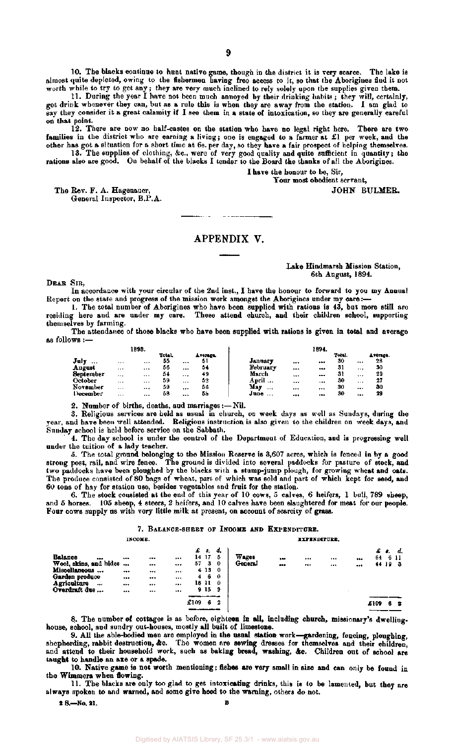10. The blacks continue to hunt native game, though in the district it is very scarce. The lake is almost quite depleted, owing to the fishermen having free access to it, so that the Aborigines find it not worth while to try to get any; they are very much inclined to rely solely upon the supplies given them.

11. During the year I have not been much annoyed by their drinking habits ; they will, certainly, get drink whenever they can, but as a rule this is when they are away from the station. I am glad to say they consider it a great calamity if I see them in a state of intoxication, so they are generally careful on that point.

12. There are now no half-castes on the station who have no legal right here. There are two families in the district who are earning a living; one is engaged to a farmer at £1 per week, and the other has got a situation for a short time at 6s. per day, so they have a fair prospect of helping themselves.

13. The supplies of clothing, &c, were of very good quality and quite sufficient in quantity; the rations also are good. On behalf of the blacks I tender to the Board the thanks of all the Aborigines.

> I have the honour to be, Sir, Tour most obedient servant,

The Rev. F. A. Hagenauer,  $JOHN$  BULMER. General Inspector, B.P.A.

#### APPENDIX V.

#### Lake Hindmarsh Mission Station, 6th August, 1894.

DEAR SIR, In accordance with your circular of the 2nd inst., I have the honour to forward to you my Annual Report on the state and progress of the mission work amongst the Aborigines under my care:—

1. The total number of Aborigines who have been supplied with rations is 43, but more still are residing here and are under my care. These attend church, and their children school, supporting themselves by farming.

The attendance of those blacks who have been supplied with rations is given in total and average as follows :—

|          | 1893.    |        |          |          |                 |          | 1894.    |        |    |          |
|----------|----------|--------|----------|----------|-----------------|----------|----------|--------|----|----------|
|          |          | Total. |          | Aversge. |                 |          |          | Total. |    | Averago. |
|          |          |        |          |          |                 |          |          |        |    | 28       |
|          | $\cdots$ | 56     | $\cdots$ | 54       | <b>February</b> | $\cdots$ | 11.6     | 31     |    | 30       |
|          |          | 54     | $\cdots$ | 49       | March           |          | $\cdots$ | 31     |    | 29       |
| $\cdots$ | $\cdots$ | 59     | $\cdots$ | 52       | April           | $\cdots$ |          | 30     |    | 27       |
|          |          | 59     |          | 56       | Мат<br>         |          | .        | 30     |    | 30       |
|          |          | 58     | $$       | 55       | June            | $\cdots$ |          | 30     |    | 29       |
|          |          |        | 55       |          | 51              | January  |          |        | 30 |          |

2. Number of births, deaths, and marriages :—Nil.

**INCOME.** 

3. Religious services are held as usual in church, on week days as well as Sundays, during the year, and have been well attended. Religious instruction is also given to the children on week days, and Sunday school is held before service on the Sabbath.

4. The day school is under the control of the Department of Education, and is progressing well under the tuition of a lady teacher.

5. The total ground belonging to the Mission Reserve is 3,607 acres, which is fenced in by a good strong post, rail, and wire fence. The ground is divided into several paddocks for pasture of stock, and two paddocks have been ploughed by the blacks with a stump-jump plough, for growing wheat and oats. The produce consisted of 80 bags of wheat, part of which was sold and part of which kept for seed, and 60 tons of hay for station use, besides vegetables and fruit for the station.

6. The stock consisted at the end of this year of 10 cows, 5 calves, 6 heifers, 1 bull, 789 sheep, and 5 horses. 105 sheep, 4 steers, 2 heifers, and 10 calves have been slaughtered for meat for our people. Four cows supply us with very little milk at present, on account of scarcity of grass.

#### 7. BALANCE-SHEET OF INCOME AND EXPENDITURE.

**EXPENDITURE.** 

| Balance<br><br>Wool, skins, and hides<br>Miscellaneous<br>$\cdots$<br>Garden produce<br>Agriculture<br>$\ddotsc$<br>Overdraft due | $\cdots$<br><br>$\cdots$<br>$$<br> | $\cdots$<br>$\cdots$<br><br><br><br> | $\cdots$<br>$\cdots$<br><br><br><br>$\cdots$ | $\overline{4}$ | $\mathbf{f}$ s,<br>14 17<br>57 3<br>4 13<br>6<br>18 11<br>915 | d.<br>5<br>0<br>0<br>-0<br>0<br>э | <b>Wages</b><br>General | $\ddotsc$<br> | <br><br><br> | <br><br>£.<br>64<br>44 19 3 | -તં<br>-6 11 |
|-----------------------------------------------------------------------------------------------------------------------------------|------------------------------------|--------------------------------------|----------------------------------------------|----------------|---------------------------------------------------------------|-----------------------------------|-------------------------|---------------|--------------|-----------------------------|--------------|
|                                                                                                                                   |                                    |                                      |                                              | £109           |                                                               | 2                                 |                         |               |              | £109                        | 2            |
|                                                                                                                                   |                                    |                                      |                                              |                |                                                               |                                   |                         |               |              |                             |              |

8. The number of cottages is as before, eighteen in all, including church, missionary's dwellinghouse, school, and sundry out-houses, mostly all built of limestone.

9. All the able-bodied men are employed in the usual station work—gardening, fencing, ploughing, shepherding, rabbit destruction, &c. The women are sewing dresses for themselves and their children, and attend to their household work, such as baking bread, washing, &c. Children out of school are taught to handle an axe or a spade.

10. Native game is not worth mentioning; fishes are very small in size and can only be found in the Wimmera when flowing.

11. The blacks are only too glad to get intoxicating drinks, this is to be lamented, but they are always spoken to and warned, and some give heed to the warning, others do not.

**2 s.—No. 21. B** 

#### Digitised by AIATSIS Library, SF 25.3/1 - www.aiatsis.gov.au